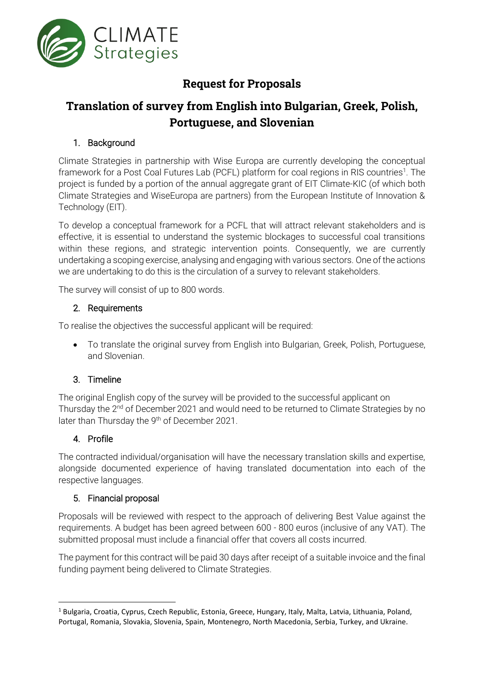

## **Request for Proposals**

# **Translation of survey from English into Bulgarian, Greek, Polish, Portuguese, and Slovenian**

## 1. Background

Climate Strategies in partnership with Wise Europa are currently developing the conceptual framework for a Post Coal Futures Lab (PCFL) platform for coal regions in RIS countries<sup>1</sup>. The project is funded by a portion of the annual aggregate grant of EIT Climate-KIC (of which both Climate Strategies and WiseEuropa are partners) from the European Institute of Innovation & Technology (EIT).

To develop a conceptual framework for a PCFL that will attract relevant stakeholders and is effective, it is essential to understand the systemic blockages to successful coal transitions within these regions, and strategic intervention points. Consequently, we are currently undertaking a scoping exercise, analysing and engaging with various sectors. One of the actions we are undertaking to do this is the circulation of a survey to relevant stakeholders.

The survey will consist of up to 800 words.

### 2. Requirements

To realise the objectives the successful applicant will be required:

• To translate the original survey from English into Bulgarian, Greek, Polish, Portuguese, and Slovenian.

## 3. Timeline

The original English copy of the survey will be provided to the successful applicant on Thursday the 2<sup>nd</sup> of December 2021 and would need to be returned to Climate Strategies by no later than Thursday the 9<sup>th</sup> of December 2021.

## 4. Profile

The contracted individual/organisation will have the necessary translation skills and expertise, alongside documented experience of having translated documentation into each of the respective languages.

#### 5. Financial proposal

Proposals will be reviewed with respect to the approach of delivering Best Value against the requirements. A budget has been agreed between 600 - 800 euros (inclusive of any VAT). The submitted proposal must include a financial offer that covers all costs incurred.

The payment for this contract will be paid 30 days after receipt of a suitable invoice and the final funding payment being delivered to Climate Strategies.

<sup>&</sup>lt;sup>1</sup> Bulgaria, Croatia, Cyprus, Czech Republic, Estonia, Greece, Hungary, Italy, Malta, Latvia, Lithuania, Poland, Portugal, Romania, Slovakia, Slovenia, Spain, Montenegro, North Macedonia, Serbia, Turkey, and Ukraine.